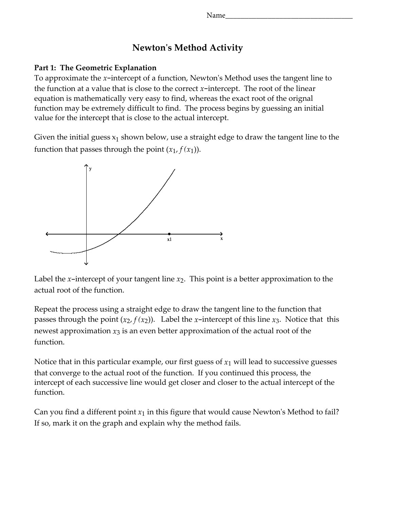## Newton's Method Activity

## Part 1: The Geometric Explanation

To approximate the  $x$ -intercept of a function, Newton's Method uses the tangent line to the function at a value that is close to the correct  $x$ -intercept. The root of the linear equation is mathematically very easy to find, whereas the exact root of the orignal function may be extremely difficult to find. The process begins by guessing an initial value for the intercept that is close to the actual intercept.

Given the initial guess  $\mathrm{x}_1$  shown below, use a straight edge to draw the tangent line to the function that passes through the point  $(x_1, f(x_1))$ .



Label the x-intercept of your tangent line  $x_2$ . This point is a better approximation to the actual root of the function.

Repeat the process using a straight edge to draw the tangent line to the function that passes through the point  $(x_2, f(x_2))$ . Label the x-intercept of this line  $x_3$ . Notice that this newest approximation  $x_3$  is an even better approximation of the actual root of the function.

Notice that in this particular example, our first guess of  $x_1$  will lead to successive guesses that converge to the actual root of the function. If you continued this process, the intercept of each successive line would get closer and closer to the actual intercept of the function.

Can you find a different point  $x_1$  in this figure that would cause Newton's Method to fail? If so, mark it on the graph and explain why the method fails.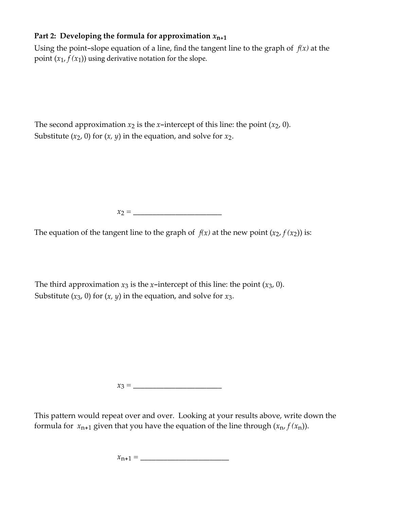## Part 2: Developing the formula for approximation  $x_{n+1}$

Using the point-slope equation of a line, find the tangent line to the graph of  $f(x)$  at the point  $(x_1, f(x_1))$  using derivative notation for the slope.

The second approximation  $x_2$  is the x-intercept of this line: the point  $(x_2, 0)$ . Substitute  $(x_2, 0)$  for  $(x, y)$  in the equation, and solve for  $x_2$ .

 $x_2 = \_$ 

The equation of the tangent line to the graph of  $f(x)$  at the new point  $(x_2, f(x_2))$  is:

The third approximation  $x_3$  is the x-intercept of this line: the point  $(x_3, 0)$ . Substitute  $(x_3, 0)$  for  $(x, y)$  in the equation, and solve for  $x_3$ .

x<sup>3</sup> = \_\_\_\_\_\_\_\_\_\_\_\_\_\_\_\_\_\_\_\_\_\_\_

This pattern would repeat over and over. Looking at your results above, write down the formula for  $x_{n+1}$  given that you have the equation of the line through  $(x_n, f(x_n))$ .

 $x_{n+1} = \_$